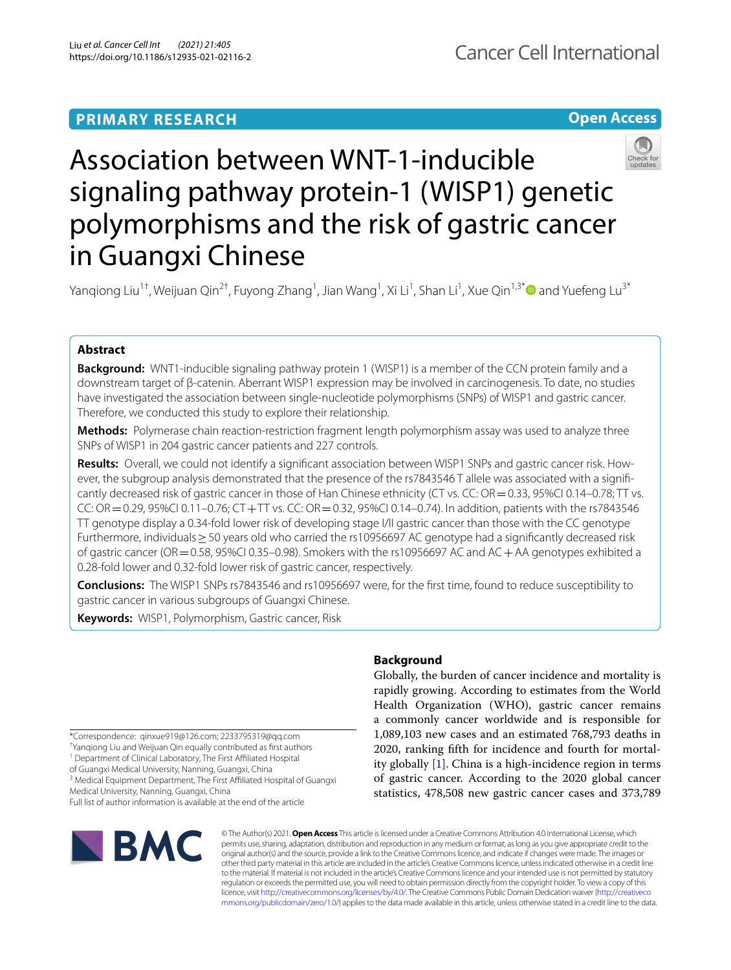# **PRIMARY RESEARCH**





# Association between WNT-1-inducible signaling pathway protein-1 (WISP1) genetic polymorphisms and the risk of gastric cancer in Guangxi Chinese

Yanqiong Liu<sup>1†</sup>, Weijuan Qin<sup>2†</sup>, Fuyong Zhang<sup>1</sup>, Jian Wang<sup>1</sup>, Xi Li<sup>1</sup>, Shan Li<sup>1</sup>, Xue Qin<sup>1,3[\\*](http://orcid.org/0000-0002-4513-3515)</sup>❶ and Yuefeng Lu<sup>3\*</sup>

# **Abstract**

**Background:** WNT1-inducible signaling pathway protein 1 (WISP1) is a member of the CCN protein family and a downstream target of β-catenin. Aberrant WISP1 expression may be involved in carcinogenesis. To date, no studies have investigated the association between single-nucleotide polymorphisms (SNPs) of WISP1 and gastric cancer. Therefore, we conducted this study to explore their relationship.

**Methods:** Polymerase chain reaction-restriction fragment length polymorphism assay was used to analyze three SNPs of WISP1 in 204 gastric cancer patients and 227 controls.

**Results:** Overall, we could not identify a signifcant association between WISP1 SNPs and gastric cancer risk. However, the subgroup analysis demonstrated that the presence of the rs7843546 T allele was associated with a signifcantly decreased risk of gastric cancer in those of Han Chinese ethnicity (CT vs. CC: OR = 0.33, 95%CI 0.14–0.78; TT vs. CC: OR=0.29, 95%CI 0.11–0.76; CT+TT vs. CC: OR=0.32, 95%CI 0.14–0.74). In addition, patients with the rs7843546 TT genotype display a 0.34-fold lower risk of developing stage I/II gastric cancer than those with the CC genotype Furthermore, individuals≥50 years old who carried the rs10956697 AC genotype had a signifcantly decreased risk of gastric cancer (OR=0.58, 95%CI 0.35–0.98). Smokers with the rs10956697 AC and AC+AA genotypes exhibited a 0.28-fold lower and 0.32-fold lower risk of gastric cancer, respectively.

**Conclusions:** The WISP1 SNPs rs7843546 and rs10956697 were, for the frst time, found to reduce susceptibility to gastric cancer in various subgroups of Guangxi Chinese.

**Keywords:** WISP1, Polymorphism, Gastric cancer, Risk

\*Correspondence: qinxue919@126.com; 2233795319@qq.com

† Yanqiong Liu and Weijuan Qin equally contributed as frst authors

<sup>1</sup> Department of Clinical Laboratory, The First Affiliated Hospital

of Guangxi Medical University, Nanning, Guangxi, China

<sup>3</sup> Medical Equipment Department, The First Affiliated Hospital of Guangxi Medical University, Nanning, Guangxi, China Full list of author information is available at the end of the article

BMC

# **Background**

Globally, the burden of cancer incidence and mortality is rapidly growing. According to estimates from the World Health Organization (WHO), gastric cancer remains a commonly cancer worldwide and is responsible for 1,089,103 new cases and an estimated 768,793 deaths in 2020, ranking ffth for incidence and fourth for mortality globally [\[1](#page-7-0)]. China is a high-incidence region in terms of gastric cancer. According to the 2020 global cancer statistics, 478,508 new gastric cancer cases and 373,789

© The Author(s) 2021. **Open Access** This article is licensed under a Creative Commons Attribution 4.0 International License, which permits use, sharing, adaptation, distribution and reproduction in any medium or format, as long as you give appropriate credit to the original author(s) and the source, provide a link to the Creative Commons licence, and indicate if changes were made. The images or other third party material in this article are included in the article's Creative Commons licence, unless indicated otherwise in a credit line to the material. If material is not included in the article's Creative Commons licence and your intended use is not permitted by statutory regulation or exceeds the permitted use, you will need to obtain permission directly from the copyright holder. To view a copy of this licence, visit [http://creativecommons.org/licenses/by/4.0/.](http://creativecommons.org/licenses/by/4.0/) The Creative Commons Public Domain Dedication waiver ([http://creativeco](http://creativecommons.org/publicdomain/zero/1.0/) [mmons.org/publicdomain/zero/1.0/](http://creativecommons.org/publicdomain/zero/1.0/)) applies to the data made available in this article, unless otherwise stated in a credit line to the data.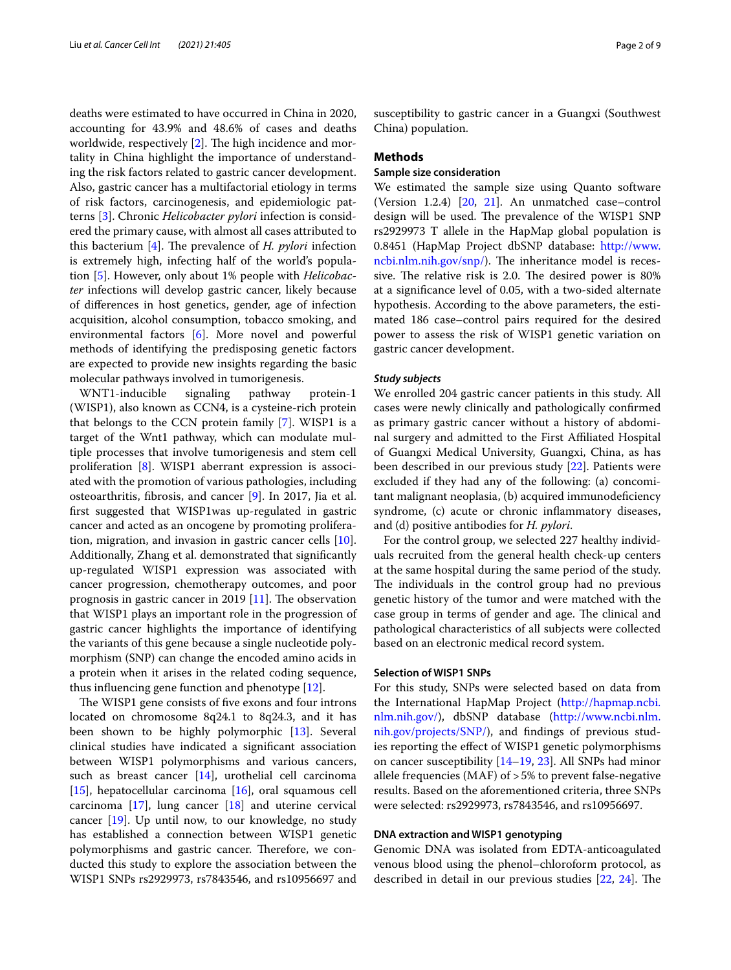deaths were estimated to have occurred in China in 2020, accounting for 43.9% and 48.6% of cases and deaths worldwide, respectively  $[2]$  $[2]$ . The high incidence and mortality in China highlight the importance of understanding the risk factors related to gastric cancer development. Also, gastric cancer has a multifactorial etiology in terms of risk factors, carcinogenesis, and epidemiologic patterns [\[3](#page-7-2)]. Chronic *Helicobacter pylori* infection is considered the primary cause, with almost all cases attributed to this bacterium [\[4](#page-7-3)]. The prevalence of *H. pylori* infection is extremely high, infecting half of the world's population [\[5](#page-7-4)]. However, only about 1% people with *Helicobacter* infections will develop gastric cancer, likely because of diferences in host genetics, gender, age of infection acquisition, alcohol consumption, tobacco smoking, and environmental factors [[6\]](#page-7-5). More novel and powerful methods of identifying the predisposing genetic factors are expected to provide new insights regarding the basic molecular pathways involved in tumorigenesis.

WNT1-inducible signaling pathway protein-1 (WISP1), also known as CCN4, is a cysteine-rich protein that belongs to the CCN protein family [[7\]](#page-7-6). WISP1 is a target of the Wnt1 pathway, which can modulate multiple processes that involve tumorigenesis and stem cell proliferation [[8\]](#page-7-7). WISP1 aberrant expression is associated with the promotion of various pathologies, including osteoarthritis, fbrosis, and cancer [\[9](#page-7-8)]. In 2017, Jia et al. frst suggested that WISP1was up-regulated in gastric cancer and acted as an oncogene by promoting proliferation, migration, and invasion in gastric cancer cells [\[10](#page-7-9)]. Additionally, Zhang et al. demonstrated that signifcantly up-regulated WISP1 expression was associated with cancer progression, chemotherapy outcomes, and poor prognosis in gastric cancer in 2019  $[11]$  $[11]$ . The observation that WISP1 plays an important role in the progression of gastric cancer highlights the importance of identifying the variants of this gene because a single nucleotide polymorphism (SNP) can change the encoded amino acids in a protein when it arises in the related coding sequence, thus infuencing gene function and phenotype [[12\]](#page-8-0).

The WISP1 gene consists of five exons and four introns located on chromosome 8q24.1 to 8q24.3, and it has been shown to be highly polymorphic [[13](#page-8-1)]. Several clinical studies have indicated a signifcant association between WISP1 polymorphisms and various cancers, such as breast cancer [[14\]](#page-8-2), urothelial cell carcinoma [[15\]](#page-8-3), hepatocellular carcinoma  $[16]$  $[16]$ , oral squamous cell carcinoma [[17\]](#page-8-5), lung cancer [\[18](#page-8-6)] and uterine cervical cancer [[19\]](#page-8-7). Up until now, to our knowledge, no study has established a connection between WISP1 genetic polymorphisms and gastric cancer. Therefore, we conducted this study to explore the association between the WISP1 SNPs rs2929973, rs7843546, and rs10956697 and susceptibility to gastric cancer in a Guangxi (Southwest China) population.

# **Methods**

# **Sample size consideration**

We estimated the sample size using Quanto software (Version 1.2.4)  $[20, 21]$  $[20, 21]$  $[20, 21]$  $[20, 21]$  $[20, 21]$ . An unmatched case–control design will be used. The prevalence of the WISP1 SNP rs2929973 T allele in the HapMap global population is 0.8451 (HapMap Project dbSNP database: [http://www.](http://www.ncbi.nlm.nih.gov/snp/) [ncbi.nlm.nih.gov/snp/\)](http://www.ncbi.nlm.nih.gov/snp/). The inheritance model is recessive. The relative risk is 2.0. The desired power is 80% at a signifcance level of 0.05, with a two-sided alternate hypothesis. According to the above parameters, the estimated 186 case–control pairs required for the desired power to assess the risk of WISP1 genetic variation on gastric cancer development.

# *Study subjects*

We enrolled 204 gastric cancer patients in this study. All cases were newly clinically and pathologically confrmed as primary gastric cancer without a history of abdominal surgery and admitted to the First Afliated Hospital of Guangxi Medical University, Guangxi, China, as has been described in our previous study [\[22\]](#page-8-10). Patients were excluded if they had any of the following: (a) concomitant malignant neoplasia, (b) acquired immunodefciency syndrome, (c) acute or chronic infammatory diseases, and (d) positive antibodies for *H. pylori*.

For the control group, we selected 227 healthy individuals recruited from the general health check-up centers at the same hospital during the same period of the study. The individuals in the control group had no previous genetic history of the tumor and were matched with the case group in terms of gender and age. The clinical and pathological characteristics of all subjects were collected based on an electronic medical record system.

# **Selection of WISP1 SNPs**

For this study, SNPs were selected based on data from the International HapMap Project [\(http://hapmap.ncbi.](http://hapmap.ncbi.nlm.nih.gov/) [nlm.nih.gov/\)](http://hapmap.ncbi.nlm.nih.gov/), dbSNP database ([http://www.ncbi.nlm.](http://www.ncbi.nlm.nih.gov/projects/SNP/) [nih.gov/projects/SNP/\)](http://www.ncbi.nlm.nih.gov/projects/SNP/), and fndings of previous studies reporting the efect of WISP1 genetic polymorphisms on cancer susceptibility [[14](#page-8-2)[–19](#page-8-7), [23\]](#page-8-11). All SNPs had minor allele frequencies (MAF) of >5% to prevent false-negative results. Based on the aforementioned criteria, three SNPs were selected: rs2929973, rs7843546, and rs10956697.

# **DNA extraction and WISP1 genotyping**

Genomic DNA was isolated from EDTA-anticoagulated venous blood using the phenol–chloroform protocol, as described in detail in our previous studies  $[22, 24]$  $[22, 24]$  $[22, 24]$  $[22, 24]$  $[22, 24]$ . The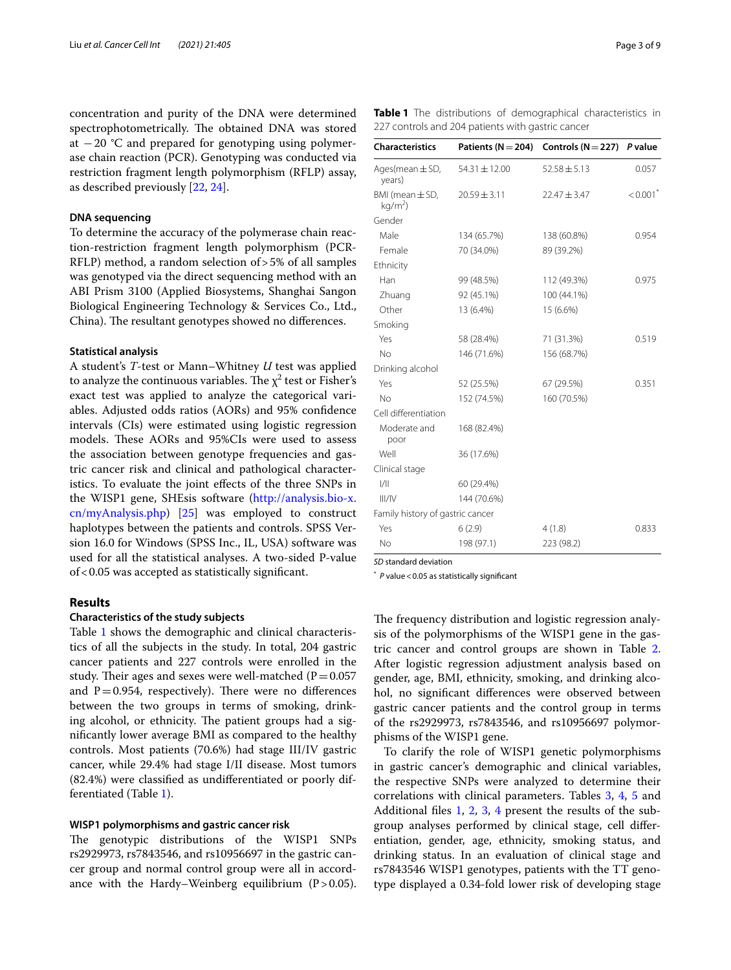concentration and purity of the DNA were determined spectrophotometrically. The obtained DNA was stored at  $-20$  °C and prepared for genotyping using polymerase chain reaction (PCR). Genotyping was conducted via restriction fragment length polymorphism (RFLP) assay, as described previously [\[22,](#page-8-10) [24](#page-8-12)].

## **DNA sequencing**

To determine the accuracy of the polymerase chain reaction-restriction fragment length polymorphism (PCR-RFLP) method, a random selection of>5% of all samples was genotyped via the direct sequencing method with an ABI Prism 3100 (Applied Biosystems, Shanghai Sangon Biological Engineering Technology & Services Co., Ltd., China). The resultant genotypes showed no differences.

#### **Statistical analysis**

A student's *T*-test or Mann–Whitney *U* test was applied to analyze the continuous variables. The  $\chi^2$  test or Fisher's exact test was applied to analyze the categorical variables. Adjusted odds ratios (AORs) and 95% confdence intervals (CIs) were estimated using logistic regression models. These AORs and 95%CIs were used to assess the association between genotype frequencies and gastric cancer risk and clinical and pathological characteristics. To evaluate the joint efects of the three SNPs in the WISP1 gene, SHEsis software [\(http://analysis.bio-x.](http://analysis.bio-x.cn/myAnalysis.php) [cn/myAnalysis.php](http://analysis.bio-x.cn/myAnalysis.php)) [\[25](#page-8-13)] was employed to construct haplotypes between the patients and controls. SPSS Version 16.0 for Windows (SPSS Inc., IL, USA) software was used for all the statistical analyses. A two-sided P*-*value of<0.05 was accepted as statistically signifcant.

# **Results**

# **Characteristics of the study subjects**

Table [1](#page-2-0) shows the demographic and clinical characteristics of all the subjects in the study. In total, 204 gastric cancer patients and 227 controls were enrolled in the study. Their ages and sexes were well-matched ( $P=0.057$ ) and  $P=0.954$ , respectively). There were no differences between the two groups in terms of smoking, drinking alcohol, or ethnicity. The patient groups had a signifcantly lower average BMI as compared to the healthy controls. Most patients (70.6%) had stage III/IV gastric cancer, while 29.4% had stage I/II disease. Most tumors (82.4%) were classifed as undiferentiated or poorly differentiated (Table [1](#page-2-0)).

## **WISP1 polymorphisms and gastric cancer risk**

The genotypic distributions of the WISP1 SNPs rs2929973, rs7843546, and rs10956697 in the gastric cancer group and normal control group were all in accordance with the Hardy–Weinberg equilibrium  $(P>0.05)$ .

<span id="page-2-0"></span>**Table 1** The distributions of demographical characteristics in 227 controls and 204 patients with gastric cancer

| <b>Characteristics</b>           | Patients ( $N = 204$ ) | Controls ( $N = 227$ ) P value |         |
|----------------------------------|------------------------|--------------------------------|---------|
| Ages(mean $\pm$ SD,<br>years)    | 54.31 ± 12.00          | $52.58 \pm 5.13$               | 0.057   |
| BMI (mean ± SD,<br>$kg/m2$ )     | $20.59 \pm 3.11$       | $22.47 \pm 3.47$               | < 0.001 |
| Gender                           |                        |                                |         |
| Male                             | 134 (65.7%)            | 138 (60.8%)                    | 0.954   |
| Female                           | 70 (34.0%)             | 89 (39.2%)                     |         |
| Ethnicity                        |                        |                                |         |
| Han                              | 99 (48.5%)             | 112 (49.3%)                    | 0.975   |
| Zhuang                           | 92 (45.1%)             | 100 (44.1%)                    |         |
| Other                            | 13 (6.4%)              | 15 (6.6%)                      |         |
| Smoking                          |                        |                                |         |
| Yes                              | 58 (28.4%)             | 71 (31.3%)                     | 0.519   |
| <b>No</b>                        | 146 (71.6%)            | 156 (68.7%)                    |         |
| Drinking alcohol                 |                        |                                |         |
| Yes                              | 52 (25.5%)             | 67 (29.5%)                     | 0.351   |
| No                               | 152 (74.5%)            | 160 (70.5%)                    |         |
| Cell differentiation             |                        |                                |         |
| Moderate and<br>poor             | 168 (82.4%)            |                                |         |
| Well                             | 36 (17.6%)             |                                |         |
| Clinical stage                   |                        |                                |         |
| 1/11                             | 60 (29.4%)             |                                |         |
| III/IV                           | 144 (70.6%)            |                                |         |
| Family history of gastric cancer |                        |                                |         |
| Yes                              | 6(2.9)                 | 4(1.8)                         | 0.833   |
| <b>No</b>                        | 198 (97.1)             | 223 (98.2)                     |         |
|                                  |                        |                                |         |

*SD* standard deviation

\* *P* value<0.05 as statistically signifcant

The frequency distribution and logistic regression analysis of the polymorphisms of the WISP1 gene in the gastric cancer and control groups are shown in Table [2](#page-3-0). After logistic regression adjustment analysis based on gender, age, BMI, ethnicity, smoking, and drinking alcohol, no signifcant diferences were observed between gastric cancer patients and the control group in terms of the rs2929973, rs7843546, and rs10956697 polymorphisms of the WISP1 gene.

To clarify the role of WISP1 genetic polymorphisms in gastric cancer's demographic and clinical variables, the respective SNPs were analyzed to determine their correlations with clinical parameters. Tables [3](#page-4-0), [4](#page-5-0), [5](#page-6-0) and Additional fles [1](#page-7-11), [2](#page-7-12), [3,](#page-7-13) [4](#page-7-14) present the results of the subgroup analyses performed by clinical stage, cell diferentiation, gender, age, ethnicity, smoking status, and drinking status. In an evaluation of clinical stage and rs7843546 WISP1 genotypes, patients with the TT genotype displayed a 0.34-fold lower risk of developing stage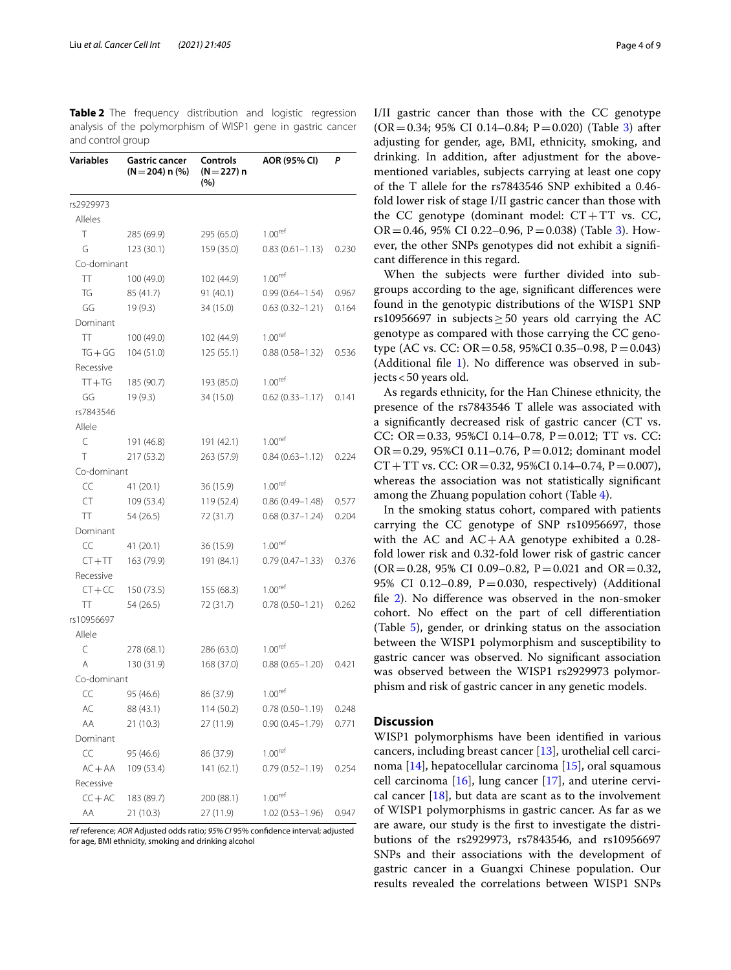<span id="page-3-0"></span>**Table 2** The frequency distribution and logistic regression analysis of the polymorphism of WISP1 gene in gastric cancer and control group

| Variables   | <b>Gastric cancer</b><br>$(N = 204)$ n $(\%)$ | Controls<br>$(N=227) n$<br>(%) | AOR (95% CI)        | P     |
|-------------|-----------------------------------------------|--------------------------------|---------------------|-------|
| rs2929973   |                                               |                                |                     |       |
| Alleles     |                                               |                                |                     |       |
| Τ           | 285 (69.9)                                    | 295 (65.0)                     | 1.00 <sup>ref</sup> |       |
| G           | 123 (30.1)                                    | 159 (35.0)                     | $0.83(0.61 - 1.13)$ | 0.230 |
| Co-dominant |                                               |                                |                     |       |
| TТ          | 100 (49.0)                                    | 102 (44.9)                     | 1.00 <sup>ref</sup> |       |
| TG          | 85 (41.7)                                     | 91 (40.1)                      | $0.99(0.64 - 1.54)$ | 0.967 |
| GG          | 19 (9.3)                                      | 34 (15.0)                      | $0.63(0.32 - 1.21)$ | 0.164 |
| Dominant    |                                               |                                |                     |       |
| TT          | 100 (49.0)                                    | 102 (44.9)                     | 1.00 <sup>ret</sup> |       |
| $TG + GG$   | 104(51.0)                                     | 125(55.1)                      | $0.88(0.58 - 1.32)$ | 0.536 |
| Recessive   |                                               |                                |                     |       |
| $TT + TG$   | 185 (90.7)                                    | 193 (85.0)                     | 1.00 <sup>ret</sup> |       |
| GG          | 19(9.3)                                       | 34 (15.0)                      | $0.62(0.33 - 1.17)$ | 0.141 |
| rs7843546   |                                               |                                |                     |       |
| Allele      |                                               |                                |                     |       |
| C           | 191 (46.8)                                    | 191 (42.1)                     | 1.00 <sup>ret</sup> |       |
| Τ           | 217 (53.2)                                    | 263 (57.9)                     | $0.84(0.63 - 1.12)$ | 0.224 |
| Co-dominant |                                               |                                |                     |       |
| CC          | 41 (20.1)                                     | 36 (15.9)                      | 1.00 <sup>ret</sup> |       |
| CT          | 109 (53.4)                                    | 119 (52.4)                     | $0.86(0.49 - 1.48)$ | 0.577 |
| TT.         | 54 (26.5)                                     | 72 (31.7)                      | $0.68(0.37 - 1.24)$ | 0.204 |
| Dominant    |                                               |                                |                     |       |
| CC          | 41 (20.1)                                     | 36 (15.9)                      | 1.00 <sup>ret</sup> |       |
| $CT + TT$   | 163 (79.9)                                    | 191 (84.1)                     | $0.79(0.47 - 1.33)$ | 0.376 |
| Recessive   |                                               |                                |                     |       |
| $CT + CC$   | 150 (73.5)                                    | 155 (68.3)                     | 1.00 <sup>ret</sup> |       |
| π           | 54 (26.5)                                     | 72 (31.7)                      | $0.78(0.50 - 1.21)$ | 0.262 |
| rs10956697  |                                               |                                |                     |       |
| Allele      |                                               |                                |                     |       |
| C           |                                               |                                | 1.00 <sup>ref</sup> |       |
| Α           | 278 (68.1)                                    | 286 (63.0)                     | $0.88(0.65 - 1.20)$ |       |
| Co-dominant | 130 (31.9)                                    | 168 (37.0)                     |                     | 0.421 |
| CC          |                                               |                                | 1.00 <sup>ref</sup> |       |
|             | 95 (46.6)                                     | 86 (37.9)                      |                     |       |
| АC<br>AA    | 88 (43.1)                                     | 114 (50.2)                     | $0.78(0.50 - 1.19)$ | 0.248 |
|             | 21 (10.3)                                     | 27 (11.9)                      | $0.90(0.45 - 1.79)$ | 0.771 |
| Dominant    |                                               |                                |                     |       |
| CC          | 95 (46.6)                                     | 86 (37.9)                      | 1.00 <sup>ref</sup> |       |
| $AC + AA$   | 109 (53.4)                                    | 141 (62.1)                     | $0.79(0.52 - 1.19)$ | 0.254 |
| Recessive   |                                               |                                |                     |       |
| $CC+AC$     | 183 (89.7)                                    | 200 (88.1)                     | 1.00 <sup>ref</sup> |       |
| AA          | 21 (10.3)                                     | 27 (11.9)                      | $1.02(0.53 - 1.96)$ | 0.947 |

*ref* reference; *AOR* Adjusted odds ratio; *95% CI* 95% confdence interval; adjusted for age, BMI ethnicity, smoking and drinking alcohol

I/II gastric cancer than those with the CC genotype  $(OR = 0.34; 95\% \text{ CI } 0.14 - 0.84; P = 0.020)$  (Table [3\)](#page-4-0) after adjusting for gender, age, BMI, ethnicity, smoking, and drinking. In addition, after adjustment for the abovementioned variables, subjects carrying at least one copy of the T allele for the rs7843546 SNP exhibited a 0.46 fold lower risk of stage I/II gastric cancer than those with the CC genotype (dominant model:  $CT+TT$  vs. CC,  $OR = 0.46$ , 95% CI 0.22–0.96, P = 0.038) (Table [3\)](#page-4-0). However, the other SNPs genotypes did not exhibit a signifcant diference in this regard.

When the subjects were further divided into subgroups according to the age, signifcant diferences were found in the genotypic distributions of the WISP1 SNP rs10956697 in subjects  $\geq$  50 years old carrying the AC genotype as compared with those carrying the CC genotype (AC vs. CC: OR = 0.58, 95%CI 0.35–0.98, P = 0.043) (Additional fle [1\)](#page-7-11). No diference was observed in subjects<50 years old.

As regards ethnicity, for the Han Chinese ethnicity, the presence of the rs7843546 T allele was associated with a signifcantly decreased risk of gastric cancer (CT vs. CC: OR = 0.33, 95%CI 0.14–0.78, P = 0.012; TT vs. CC: OR=0.29, 95%CI 0.11-0.76, P=0.012; dominant model  $CT+TT$  vs.  $CC: OR = 0.32, 95\% CI 0.14-0.74, P = 0.007$ , whereas the association was not statistically signifcant among the Zhuang population cohort (Table [4\)](#page-5-0).

In the smoking status cohort, compared with patients carrying the CC genotype of SNP rs10956697, those with the AC and AC+AA genotype exhibited a 0.28 fold lower risk and 0.32-fold lower risk of gastric cancer  $(OR = 0.28, 95\% \text{ CI } 0.09 - 0.82, P = 0.021 \text{ and } OR = 0.32,$ 95% CI 0.12–0.89,  $P=0.030$ , respectively) (Additional fle [2](#page-7-12)). No diference was observed in the non-smoker cohort. No efect on the part of cell diferentiation (Table [5](#page-6-0)), gender, or drinking status on the association between the WISP1 polymorphism and susceptibility to gastric cancer was observed. No signifcant association was observed between the WISP1 rs2929973 polymorphism and risk of gastric cancer in any genetic models.

# **Discussion**

WISP1 polymorphisms have been identifed in various cancers, including breast cancer [\[13](#page-8-1)], urothelial cell carcinoma [[14\]](#page-8-2), hepatocellular carcinoma [[15\]](#page-8-3), oral squamous cell carcinoma [[16](#page-8-4)], lung cancer [\[17\]](#page-8-5), and uterine cervical cancer [[18\]](#page-8-6), but data are scant as to the involvement of WISP1 polymorphisms in gastric cancer. As far as we are aware, our study is the frst to investigate the distributions of the rs2929973, rs7843546, and rs10956697 SNPs and their associations with the development of gastric cancer in a Guangxi Chinese population. Our results revealed the correlations between WISP1 SNPs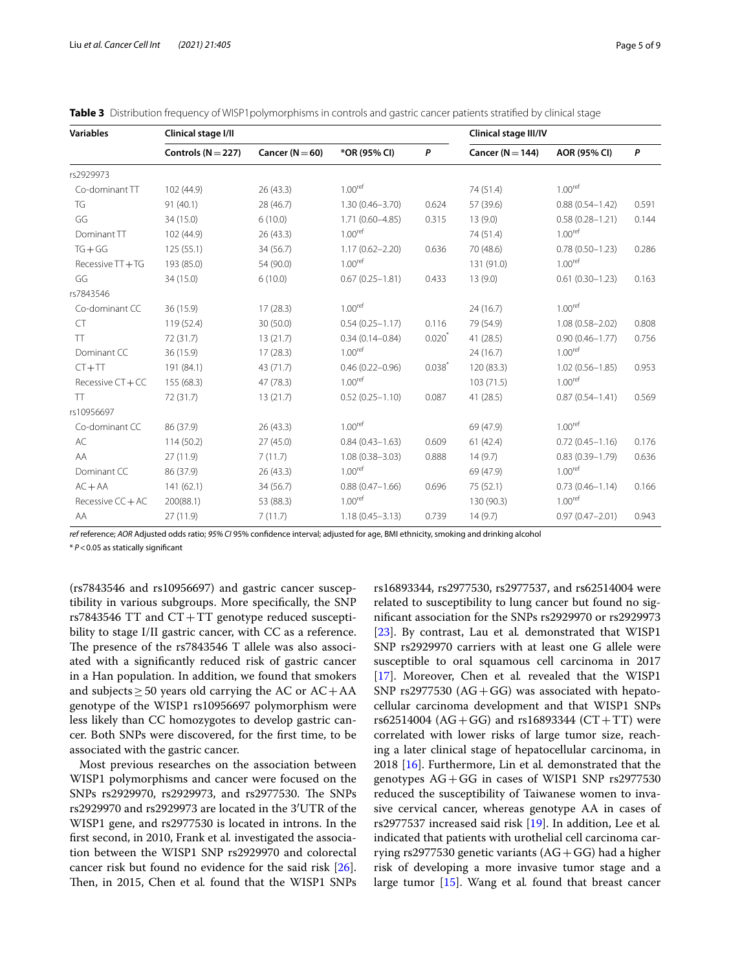| <b>Variables</b>    | Clinical stage I/II    |                     | Clinical stage III/IV |             |                      |                     |       |
|---------------------|------------------------|---------------------|-----------------------|-------------|----------------------|---------------------|-------|
|                     | Controls ( $N = 227$ ) | Cancer ( $N = 60$ ) | *OR (95% CI)          | P           | Cancer ( $N = 144$ ) | AOR (95% CI)        | P     |
| rs2929973           |                        |                     |                       |             |                      |                     |       |
| Co-dominant TT      | 102 (44.9)             | 26(43.3)            | 1.00 <sup>ref</sup>   |             | 74 (51.4)            | 1.00 <sup>ref</sup> |       |
| TG                  | 91(40.1)               | 28 (46.7)           | $1.30(0.46 - 3.70)$   | 0.624       | 57 (39.6)            | $0.88(0.54 - 1.42)$ | 0.591 |
| GG                  | 34 (15.0)              | 6(10.0)             | $1.71(0.60 - 4.85)$   | 0.315       | 13(9.0)              | $0.58(0.28 - 1.21)$ | 0.144 |
| Dominant TT         | 102 (44.9)             | 26(43.3)            | 1.00 <sup>ref</sup>   |             | 74 (51.4)            | 1.00 <sup>ref</sup> |       |
| $TG + GG$           | 125(55.1)              | 34 (56.7)           | $1.17(0.62 - 2.20)$   | 0.636       | 70 (48.6)            | $0.78(0.50 - 1.23)$ | 0.286 |
| Recessive TT + TG   | 193 (85.0)             | 54 (90.0)           | 1.00 <sup>ref</sup>   |             | 131 (91.0)           | 1.00 <sup>ref</sup> |       |
| GG                  | 34 (15.0)              | 6(10.0)             | $0.67(0.25 - 1.81)$   | 0.433       | 13(9.0)              | $0.61(0.30 - 1.23)$ | 0.163 |
| rs7843546           |                        |                     |                       |             |                      |                     |       |
| Co-dominant CC      | 36 (15.9)              | 17(28.3)            | 1.00 <sup>ref</sup>   |             | 24(16.7)             | 1.00 <sup>ref</sup> |       |
| <b>CT</b>           | 119 (52.4)             | 30 (50.0)           | $0.54(0.25 - 1.17)$   | 0.116       | 79 (54.9)            | $1.08(0.58 - 2.02)$ | 0.808 |
| TT                  | 72 (31.7)              | 13(21.7)            | $0.34(0.14 - 0.84)$   | $0.020*$    | 41(28.5)             | $0.90(0.46 - 1.77)$ | 0.756 |
| Dominant CC         | 36 (15.9)              | 17(28.3)            | 1.00 <sup>ref</sup>   |             | 24(16.7)             | 1.00 <sup>ref</sup> |       |
| $CT + TT$           | 191 (84.1)             | 43 (71.7)           | $0.46(0.22 - 0.96)$   | $0.038^{*}$ | 120 (83.3)           | $1.02(0.56 - 1.85)$ | 0.953 |
| Recessive CT+CC     | 155 (68.3)             | 47 (78.3)           | 1.00 <sup>ref</sup>   |             | 103 (71.5)           | 1.00 <sup>ref</sup> |       |
| TT                  | 72 (31.7)              | 13(21.7)            | $0.52(0.25 - 1.10)$   | 0.087       | 41(28.5)             | $0.87(0.54 - 1.41)$ | 0.569 |
| rs10956697          |                        |                     |                       |             |                      |                     |       |
| Co-dominant CC      | 86 (37.9)              | 26(43.3)            | 1.00 <sup>ref</sup>   |             | 69 (47.9)            | 1.00 <sup>ref</sup> |       |
| AC                  | 114(50.2)              | 27(45.0)            | $0.84(0.43 - 1.63)$   | 0.609       | 61(42.4)             | $0.72(0.45 - 1.16)$ | 0.176 |
| AA                  | 27 (11.9)              | 7(11.7)             | $1.08(0.38 - 3.03)$   | 0.888       | 14(9.7)              | $0.83(0.39 - 1.79)$ | 0.636 |
| Dominant CC         | 86 (37.9)              | 26(43.3)            | 1.00 <sup>ref</sup>   |             | 69 (47.9)            | 1.00 <sup>ref</sup> |       |
| $AC + AA$           | 141(62.1)              | 34 (56.7)           | $0.88(0.47 - 1.66)$   | 0.696       | 75 (52.1)            | $0.73(0.46 - 1.14)$ | 0.166 |
| Recessive $CC + AC$ | 200(88.1)              | 53 (88.3)           | 1.00 <sup>ref</sup>   |             | 130 (90.3)           | 1.00 <sup>ref</sup> |       |
| AA                  | 27 (11.9)              | 7(11.7)             | $1.18(0.45 - 3.13)$   | 0.739       | 14(9.7)              | $0.97(0.47 - 2.01)$ | 0.943 |

<span id="page-4-0"></span>

*ref* reference; *AOR* Adjusted odds ratio; *95% CI* 95% confdence interval; adjusted for age, BMI ethnicity, smoking and drinking alcohol

\* *P*<0.05 as statically signifcant

(rs7843546 and rs10956697) and gastric cancer susceptibility in various subgroups. More specifcally, the SNP  $rs7843546$  TT and  $CT+TT$  genotype reduced susceptibility to stage I/II gastric cancer, with CC as a reference. The presence of the rs7843546 T allele was also associated with a signifcantly reduced risk of gastric cancer in a Han population. In addition, we found that smokers and subjects  $>50$  years old carrying the AC or  $AC+AA$ genotype of the WISP1 rs10956697 polymorphism were less likely than CC homozygotes to develop gastric cancer. Both SNPs were discovered, for the frst time, to be associated with the gastric cancer.

Most previous researches on the association between WISP1 polymorphisms and cancer were focused on the SNPs rs2929970, rs2929973, and rs2977530. The SNPs rs2929970 and rs2929973 are located in the 3′UTR of the WISP1 gene, and rs2977530 is located in introns. In the frst second, in 2010, Frank et al*.* investigated the association between the WISP1 SNP rs2929970 and colorectal cancer risk but found no evidence for the said risk [\[26](#page-8-14)]. Then, in 2015, Chen et al. found that the WISP1 SNPs

rs16893344, rs2977530, rs2977537, and rs62514004 were related to susceptibility to lung cancer but found no signifcant association for the SNPs rs2929970 or rs2929973 [[23\]](#page-8-11). By contrast, Lau et al*.* demonstrated that WISP1 SNP rs2929970 carriers with at least one G allele were susceptible to oral squamous cell carcinoma in 2017 [[17\]](#page-8-5). Moreover, Chen et al*.* revealed that the WISP1 SNP rs2977530 ( $AG + GG$ ) was associated with hepatocellular carcinoma development and that WISP1 SNPs  $rs62514004$  (AG+GG) and  $rs16893344$  (CT+TT) were correlated with lower risks of large tumor size, reaching a later clinical stage of hepatocellular carcinoma, in 2018 [[16](#page-8-4)]. Furthermore, Lin et al*.* demonstrated that the genotypes AG+GG in cases of WISP1 SNP rs2977530 reduced the susceptibility of Taiwanese women to invasive cervical cancer, whereas genotype AA in cases of rs2977537 increased said risk [\[19\]](#page-8-7). In addition, Lee et al*.* indicated that patients with urothelial cell carcinoma carrying rs2977530 genetic variants  $(AG + GG)$  had a higher risk of developing a more invasive tumor stage and a large tumor [[15](#page-8-3)]. Wang et al*.* found that breast cancer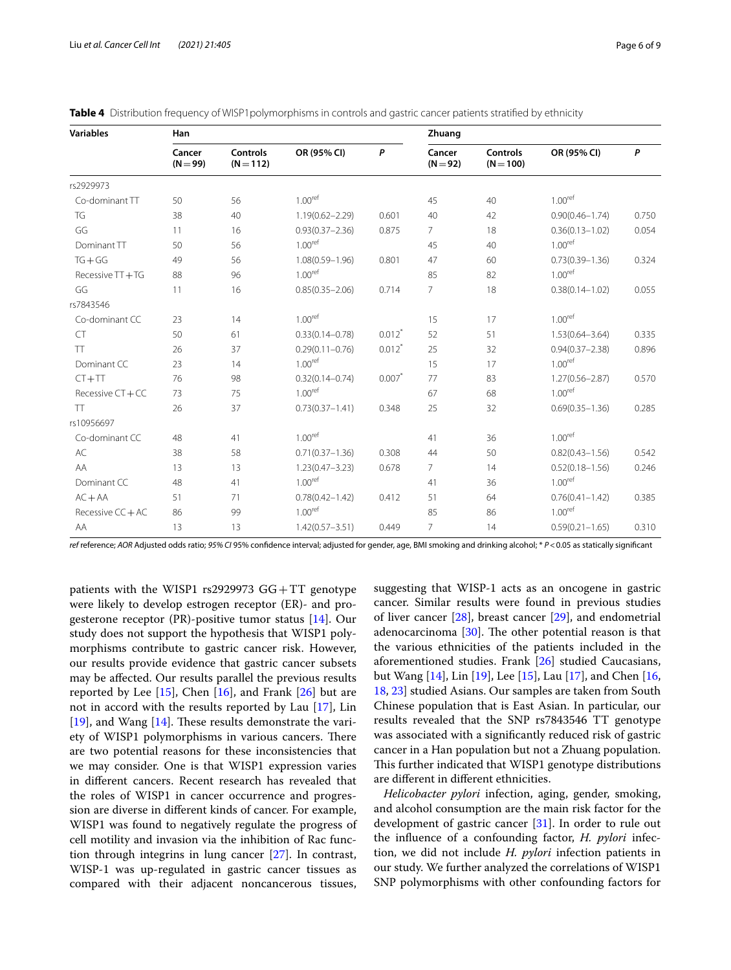| <b>Variables</b>  | Han                  |                                |                     |                      | Zhuang               |                                |                     |       |
|-------------------|----------------------|--------------------------------|---------------------|----------------------|----------------------|--------------------------------|---------------------|-------|
|                   | Cancer<br>$(N = 99)$ | <b>Controls</b><br>$(N = 112)$ | OR (95% CI)         | P                    | Cancer<br>$(N = 92)$ | <b>Controls</b><br>$(N = 100)$ | OR (95% CI)         | P     |
| rs2929973         |                      |                                |                     |                      |                      |                                |                     |       |
| Co-dominant TT    | 50                   | 56                             | 1.00 <sup>ref</sup> |                      | 45                   | 40                             | 1.00 <sup>ref</sup> |       |
| TG                | 38                   | 40                             | $1.19(0.62 - 2.29)$ | 0.601                | 40                   | 42                             | $0.90(0.46 - 1.74)$ | 0.750 |
| GG                | 11                   | 16                             | $0.93(0.37 - 2.36)$ | 0.875                | $\overline{7}$       | 18                             | $0.36(0.13 - 1.02)$ | 0.054 |
| Dominant TT       | 50                   | 56                             | 1.00 <sup>ref</sup> |                      | 45                   | 40                             | 1.00 <sup>ref</sup> |       |
| $TG + GG$         | 49                   | 56                             | $1.08(0.59 - 1.96)$ | 0.801                | 47                   | 60                             | $0.73(0.39 - 1.36)$ | 0.324 |
| Recessive TT + TG | 88                   | 96                             | 1.00 <sup>ref</sup> |                      | 85                   | 82                             | 1.00 <sup>ref</sup> |       |
| GG                | 11                   | 16                             | $0.85(0.35 - 2.06)$ | 0.714                | $\overline{7}$       | 18                             | $0.38(0.14 - 1.02)$ | 0.055 |
| rs7843546         |                      |                                |                     |                      |                      |                                |                     |       |
| Co-dominant CC    | 23                   | 14                             | 1.00 <sup>ref</sup> |                      | 15                   | 17                             | 1.00 <sup>ref</sup> |       |
| <b>CT</b>         | 50                   | 61                             | $0.33(0.14 - 0.78)$ | $0.012$ <sup>*</sup> | 52                   | 51                             | $1.53(0.64 - 3.64)$ | 0.335 |
| <b>TT</b>         | 26                   | 37                             | $0.29(0.11 - 0.76)$ | $0.012$ <sup>*</sup> | 25                   | 32                             | $0.94(0.37 - 2.38)$ | 0.896 |
| Dominant CC       | 23                   | 14                             | 1.00 <sup>ref</sup> |                      | 15                   | 17                             | 1.00 <sup>ref</sup> |       |
| $CT + TT$         | 76                   | 98                             | $0.32(0.14 - 0.74)$ | 0.007                | 77                   | 83                             | $1.27(0.56 - 2.87)$ | 0.570 |
| Recessive CT + CC | 73                   | 75                             | 1.00 <sup>ref</sup> |                      | 67                   | 68                             | 1.00 <sup>ref</sup> |       |
| <b>TT</b>         | 26                   | 37                             | $0.73(0.37 - 1.41)$ | 0.348                | 25                   | 32                             | $0.69(0.35 - 1.36)$ | 0.285 |
| rs10956697        |                      |                                |                     |                      |                      |                                |                     |       |
| Co-dominant CC    | 48                   | 41                             | 1.00 <sup>ref</sup> |                      | 41                   | 36                             | 1.00 <sup>ref</sup> |       |
| AC                | 38                   | 58                             | $0.71(0.37 - 1.36)$ | 0.308                | 44                   | 50                             | $0.82(0.43 - 1.56)$ | 0.542 |
| AA                | 13                   | 13                             | $1.23(0.47 - 3.23)$ | 0.678                | $\overline{7}$       | 14                             | $0.52(0.18 - 1.56)$ | 0.246 |
| Dominant CC       | 48                   | 41                             | 1.00 <sup>ref</sup> |                      | 41                   | 36                             | 1.00 <sup>ref</sup> |       |
| $AC + AA$         | 51                   | 71                             | $0.78(0.42 - 1.42)$ | 0.412                | 51                   | 64                             | $0.76(0.41 - 1.42)$ | 0.385 |
| Recessive CC + AC | 86                   | 99                             | 1.00 <sup>ref</sup> |                      | 85                   | 86                             | 1.00 <sup>ref</sup> |       |
| AA                | 13                   | 13                             | $1.42(0.57 - 3.51)$ | 0.449                | 7                    | 14                             | $0.59(0.21 - 1.65)$ | 0.310 |

<span id="page-5-0"></span>

| <b>Table 4</b> Distribution frequency of WISP1 polymorphisms in controls and gastric cancer patients stratified by ethnicity |  |  |  |  |  |  |  |
|------------------------------------------------------------------------------------------------------------------------------|--|--|--|--|--|--|--|
|------------------------------------------------------------------------------------------------------------------------------|--|--|--|--|--|--|--|

*ref* reference; *AOR* Adjusted odds ratio; *95% CI* 95% confdence interval; adjusted for gender, age, BMI smoking and drinking alcohol; \* *P*<0.05 as statically signifcant

patients with the WISP1 rs2929973 GG+TT genotype were likely to develop estrogen receptor (ER)- and progesterone receptor (PR)-positive tumor status [[14\]](#page-8-2). Our study does not support the hypothesis that WISP1 polymorphisms contribute to gastric cancer risk. However, our results provide evidence that gastric cancer subsets may be afected. Our results parallel the previous results reported by Lee  $[15]$  $[15]$ , Chen  $[16]$  $[16]$ , and Frank  $[26]$  $[26]$  but are not in accord with the results reported by Lau [\[17](#page-8-5)], Lin [[19\]](#page-8-7), and Wang  $[14]$  $[14]$ . These results demonstrate the variety of WISP1 polymorphisms in various cancers. There are two potential reasons for these inconsistencies that we may consider. One is that WISP1 expression varies in diferent cancers. Recent research has revealed that the roles of WISP1 in cancer occurrence and progression are diverse in diferent kinds of cancer. For example, WISP1 was found to negatively regulate the progress of cell motility and invasion via the inhibition of Rac function through integrins in lung cancer [[27](#page-8-15)]. In contrast, WISP-1 was up-regulated in gastric cancer tissues as compared with their adjacent noncancerous tissues, suggesting that WISP-1 acts as an oncogene in gastric cancer. Similar results were found in previous studies of liver cancer [[28\]](#page-8-16), breast cancer [[29](#page-8-17)], and endometrial adenocarcinoma  $[30]$  $[30]$ . The other potential reason is that the various ethnicities of the patients included in the aforementioned studies. Frank [\[26](#page-8-14)] studied Caucasians, but Wang [\[14](#page-8-2)], Lin [\[19](#page-8-7)], Lee [\[15\]](#page-8-3), Lau [[17](#page-8-5)], and Chen [[16](#page-8-4), [18,](#page-8-6) [23\]](#page-8-11) studied Asians. Our samples are taken from South Chinese population that is East Asian. In particular, our results revealed that the SNP rs7843546 TT genotype was associated with a signifcantly reduced risk of gastric cancer in a Han population but not a Zhuang population. This further indicated that WISP1 genotype distributions are diferent in diferent ethnicities.

*Helicobacter pylori* infection, aging, gender, smoking, and alcohol consumption are the main risk factor for the development of gastric cancer [[31\]](#page-8-19). In order to rule out the infuence of a confounding factor, *H. pylori* infection, we did not include *H. pylori* infection patients in our study. We further analyzed the correlations of WISP1 SNP polymorphisms with other confounding factors for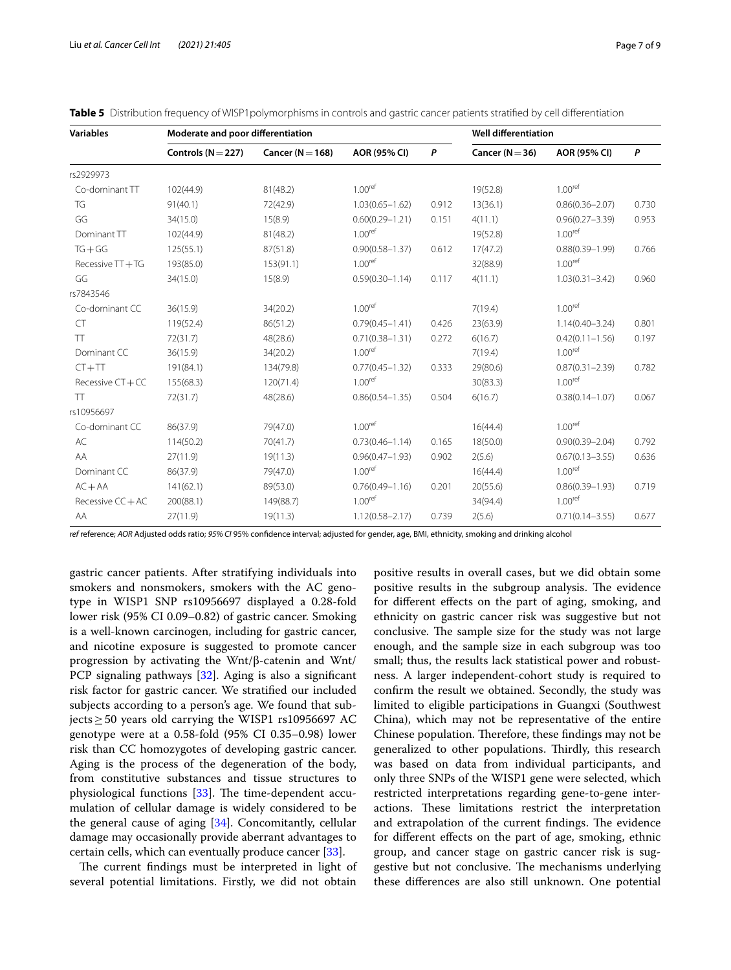| <b>Variables</b>    | Moderate and poor differentiation |                      | <b>Well differentiation</b> |       |                     |                     |       |
|---------------------|-----------------------------------|----------------------|-----------------------------|-------|---------------------|---------------------|-------|
|                     | Controls ( $N = 227$ )            | Cancer ( $N = 168$ ) | AOR (95% CI)                | P     | Cancer ( $N = 36$ ) | AOR (95% CI)        | P     |
| rs2929973           |                                   |                      |                             |       |                     |                     |       |
| Co-dominant TT      | 102(44.9)                         | 81(48.2)             | 1.00 <sup>ref</sup>         |       | 19(52.8)            | 1.00 <sup>ref</sup> |       |
| TG                  | 91(40.1)                          | 72(42.9)             | $1.03(0.65 - 1.62)$         | 0.912 | 13(36.1)            | $0.86(0.36 - 2.07)$ | 0.730 |
| GG                  | 34(15.0)                          | 15(8.9)              | $0.60(0.29 - 1.21)$         | 0.151 | 4(11.1)             | $0.96(0.27 - 3.39)$ | 0.953 |
| Dominant TT         | 102(44.9)                         | 81(48.2)             | 1.00 <sup>ref</sup>         |       | 19(52.8)            | 1.00 <sup>ref</sup> |       |
| $TG + GG$           | 125(55.1)                         | 87(51.8)             | $0.90(0.58 - 1.37)$         | 0.612 | 17(47.2)            | $0.88(0.39 - 1.99)$ | 0.766 |
| Recessive TT + TG   | 193(85.0)                         | 153(91.1)            | 1.00 <sup>ref</sup>         |       | 32(88.9)            | 1.00 <sup>ref</sup> |       |
| GG                  | 34(15.0)                          | 15(8.9)              | $0.59(0.30 - 1.14)$         | 0.117 | 4(11.1)             | $1.03(0.31 - 3.42)$ | 0.960 |
| rs7843546           |                                   |                      |                             |       |                     |                     |       |
| Co-dominant CC      | 36(15.9)                          | 34(20.2)             | 1.00 <sup>ref</sup>         |       | 7(19.4)             | 1.00 <sup>ref</sup> |       |
| <b>CT</b>           | 119(52.4)                         | 86(51.2)             | $0.79(0.45 - 1.41)$         | 0.426 | 23(63.9)            | $1.14(0.40 - 3.24)$ | 0.801 |
| <b>TT</b>           | 72(31.7)                          | 48(28.6)             | $0.71(0.38 - 1.31)$         | 0.272 | 6(16.7)             | $0.42(0.11 - 1.56)$ | 0.197 |
| Dominant CC         | 36(15.9)                          | 34(20.2)             | 1.00 <sup>ref</sup>         |       | 7(19.4)             | 1.00 <sup>ref</sup> |       |
| $CT + TT$           | 191(84.1)                         | 134(79.8)            | $0.77(0.45 - 1.32)$         | 0.333 | 29(80.6)            | $0.87(0.31 - 2.39)$ | 0.782 |
| Recessive CT + CC   | 155(68.3)                         | 120(71.4)            | 1.00 <sup>ref</sup>         |       | 30(83.3)            | 1.00 <sup>ref</sup> |       |
| TT                  | 72(31.7)                          | 48(28.6)             | $0.86(0.54 - 1.35)$         | 0.504 | 6(16.7)             | $0.38(0.14 - 1.07)$ | 0.067 |
| rs10956697          |                                   |                      |                             |       |                     |                     |       |
| Co-dominant CC      | 86(37.9)                          | 79(47.0)             | 1.00 <sup>ref</sup>         |       | 16(44.4)            | 1.00 <sup>ref</sup> |       |
| AC                  | 114(50.2)                         | 70(41.7)             | $0.73(0.46 - 1.14)$         | 0.165 | 18(50.0)            | $0.90(0.39 - 2.04)$ | 0.792 |
| AA                  | 27(11.9)                          | 19(11.3)             | $0.96(0.47 - 1.93)$         | 0.902 | 2(5.6)              | $0.67(0.13 - 3.55)$ | 0.636 |
| Dominant CC         | 86(37.9)                          | 79(47.0)             | 1.00 <sup>ref</sup>         |       | 16(44.4)            | 1.00 <sup>ref</sup> |       |
| $AC + AA$           | 141(62.1)                         | 89(53.0)             | $0.76(0.49 - 1.16)$         | 0.201 | 20(55.6)            | $0.86(0.39 - 1.93)$ | 0.719 |
| Recessive $CC + AC$ | 200(88.1)                         | 149(88.7)            | 1.00 <sup>ref</sup>         |       | 34(94.4)            | 1.00 <sup>ref</sup> |       |
| AA                  | 27(11.9)                          | 19(11.3)             | $1.12(0.58 - 2.17)$         | 0.739 | 2(5.6)              | $0.71(0.14 - 3.55)$ | 0.677 |

<span id="page-6-0"></span>

|  |  |  |  | <b>Table 5</b> Distribution frequency of WISP1 polymorphisms in controls and gastric cancer patients stratified by cell differentiation |
|--|--|--|--|-----------------------------------------------------------------------------------------------------------------------------------------|
|--|--|--|--|-----------------------------------------------------------------------------------------------------------------------------------------|

*ref* reference; *AOR* Adjusted odds ratio; *95% CI* 95% confdence interval; adjusted for gender, age, BMI, ethnicity, smoking and drinking alcohol

gastric cancer patients. After stratifying individuals into smokers and nonsmokers, smokers with the AC genotype in WISP1 SNP rs10956697 displayed a 0.28-fold lower risk (95% CI 0.09–0.82) of gastric cancer. Smoking is a well-known carcinogen, including for gastric cancer, and nicotine exposure is suggested to promote cancer progression by activating the Wnt/β-catenin and Wnt/ PCP signaling pathways [\[32](#page-8-20)]. Aging is also a significant risk factor for gastric cancer. We stratifed our included subjects according to a person's age. We found that subjects≥50 years old carrying the WISP1 rs10956697 AC genotype were at a 0.58-fold (95% CI 0.35–0.98) lower risk than CC homozygotes of developing gastric cancer. Aging is the process of the degeneration of the body, from constitutive substances and tissue structures to physiological functions [[33\]](#page-8-21). The time-dependent accumulation of cellular damage is widely considered to be the general cause of aging [[34\]](#page-8-22). Concomitantly, cellular damage may occasionally provide aberrant advantages to certain cells, which can eventually produce cancer [\[33](#page-8-21)].

The current findings must be interpreted in light of several potential limitations. Firstly, we did not obtain positive results in overall cases, but we did obtain some positive results in the subgroup analysis. The evidence for diferent efects on the part of aging, smoking, and ethnicity on gastric cancer risk was suggestive but not conclusive. The sample size for the study was not large enough, and the sample size in each subgroup was too small; thus, the results lack statistical power and robustness. A larger independent-cohort study is required to confrm the result we obtained. Secondly, the study was limited to eligible participations in Guangxi (Southwest China), which may not be representative of the entire Chinese population. Therefore, these findings may not be generalized to other populations. Thirdly, this research was based on data from individual participants, and only three SNPs of the WISP1 gene were selected, which restricted interpretations regarding gene-to-gene interactions. These limitations restrict the interpretation and extrapolation of the current findings. The evidence for diferent efects on the part of age, smoking, ethnic group, and cancer stage on gastric cancer risk is suggestive but not conclusive. The mechanisms underlying these diferences are also still unknown. One potential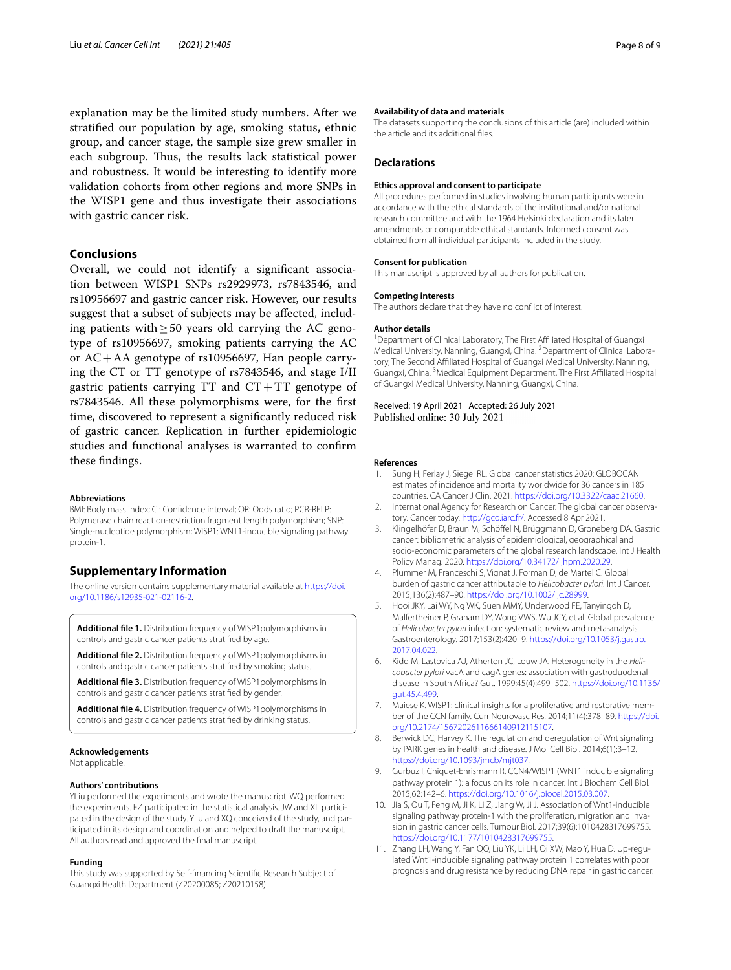explanation may be the limited study numbers. After we stratifed our population by age, smoking status, ethnic group, and cancer stage, the sample size grew smaller in each subgroup. Thus, the results lack statistical power and robustness. It would be interesting to identify more validation cohorts from other regions and more SNPs in the WISP1 gene and thus investigate their associations with gastric cancer risk.

# **Conclusions**

Overall, we could not identify a signifcant association between WISP1 SNPs rs2929973, rs7843546, and rs10956697 and gastric cancer risk. However, our results suggest that a subset of subjects may be afected, including patients with  $\geq$  50 years old carrying the AC genotype of rs10956697, smoking patients carrying the AC or AC+AA genotype of rs10956697, Han people carrying the CT or TT genotype of rs7843546, and stage I/II gastric patients carrying  $TT$  and  $CT+TT$  genotype of rs7843546. All these polymorphisms were, for the frst time, discovered to represent a signifcantly reduced risk of gastric cancer. Replication in further epidemiologic studies and functional analyses is warranted to confrm these fndings.

#### **Abbreviations**

BMI: Body mass index; CI: Confdence interval; OR: Odds ratio; PCR-RFLP: Polymerase chain reaction-restriction fragment length polymorphism; SNP: Single-nucleotide polymorphism; WISP1: WNT1-inducible signaling pathway protein-1.

# **Supplementary Information**

The online version contains supplementary material available at [https://doi.](https://doi.org/10.1186/s12935-021-02116-2) [org/10.1186/s12935-021-02116-2](https://doi.org/10.1186/s12935-021-02116-2).

<span id="page-7-12"></span><span id="page-7-11"></span>**Additional fle 1.** Distribution frequency of WISP1polymorphisms in controls and gastric cancer patients stratifed by age.

<span id="page-7-13"></span>**Additional fle 2.** Distribution frequency of WISP1polymorphisms in controls and gastric cancer patients stratifed by smoking status.

<span id="page-7-14"></span>**Additional fle 3.** Distribution frequency of WISP1polymorphisms in controls and gastric cancer patients stratifed by gender.

**Additional fle 4.** Distribution frequency of WISP1polymorphisms in controls and gastric cancer patients stratifed by drinking status.

#### **Acknowledgements**

Not applicable.

#### **Authors' contributions**

YLiu performed the experiments and wrote the manuscript. WQ performed the experiments. FZ participated in the statistical analysis. JW and XL participated in the design of the study. YLu and XQ conceived of the study, and participated in its design and coordination and helped to draft the manuscript. All authors read and approved the fnal manuscript.

#### **Funding**

This study was supported by Self-fnancing Scientifc Research Subject of Guangxi Health Department (Z20200085; Z20210158).

#### **Availability of data and materials**

The datasets supporting the conclusions of this article (are) included within the article and its additional fles.

#### **Declarations**

#### **Ethics approval and consent to participate**

All procedures performed in studies involving human participants were in accordance with the ethical standards of the institutional and/or national research committee and with the 1964 Helsinki declaration and its later amendments or comparable ethical standards. Informed consent was obtained from all individual participants included in the study.

#### **Consent for publication**

This manuscript is approved by all authors for publication.

#### **Competing interests**

The authors declare that they have no confict of interest.

#### **Author details**

<sup>1</sup> Department of Clinical Laboratory, The First Affiliated Hospital of Guangxi Medical University, Nanning, Guangxi, China. <sup>2</sup> Department of Clinical Laboratory, The Second Affiliated Hospital of Guangxi Medical University, Nanning, Guangxi, China. <sup>3</sup> Medical Equipment Department, The First Affiliated Hospital of Guangxi Medical University, Nanning, Guangxi, China.

Received: 19 April 2021 Accepted: 26 July 2021 Published online: 30 July 2021

#### **References**

- <span id="page-7-0"></span>1. Sung H, Ferlay J, Siegel RL. Global cancer statistics 2020: GLOBOCAN estimates of incidence and mortality worldwide for 36 cancers in 185 countries. CA Cancer J Clin. 2021. <https://doi.org/10.3322/caac.21660>.
- <span id="page-7-1"></span>2. International Agency for Research on Cancer. The global cancer observatory. Cancer today. <http://gco.iarc.fr/>. Accessed 8 Apr 2021.
- <span id="page-7-2"></span>3. Klingelhöfer D, Braun M, Schöfel N, Brüggmann D, Groneberg DA. Gastric cancer: bibliometric analysis of epidemiological, geographical and socio-economic parameters of the global research landscape. Int J Health Policy Manag. 2020. [https://doi.org/10.34172/ijhpm.2020.29.](https://doi.org/10.34172/ijhpm.2020.29)
- <span id="page-7-3"></span>4. Plummer M, Franceschi S, Vignat J, Forman D, de Martel C. Global burden of gastric cancer attributable to *Helicobacter pylori*. Int J Cancer. 2015;136(2):487–90. <https://doi.org/10.1002/ijc.28999>.
- <span id="page-7-4"></span>5. Hooi JKY, Lai WY, Ng WK, Suen MMY, Underwood FE, Tanyingoh D, Malfertheiner P, Graham DY, Wong VWS, Wu JCY, et al. Global prevalence of *Helicobacter pylori* infection: systematic review and meta-analysis. Gastroenterology. 2017;153(2):420–9. [https://doi.org/10.1053/j.gastro.](https://doi.org/10.1053/j.gastro.2017.04.022) [2017.04.022](https://doi.org/10.1053/j.gastro.2017.04.022).
- <span id="page-7-5"></span>6. Kidd M, Lastovica AJ, Atherton JC, Louw JA. Heterogeneity in the *Helicobacter pylori* vacA and cagA genes: association with gastroduodenal disease in South Africa? Gut. 1999;45(4):499–502. [https://doi.org/10.1136/](https://doi.org/10.1136/gut.45.4.499) [gut.45.4.499.](https://doi.org/10.1136/gut.45.4.499)
- <span id="page-7-6"></span>7. Maiese K. WISP1: clinical insights for a proliferative and restorative member of the CCN family. Curr Neurovasc Res. 2014;11(4):378–89. [https://doi.](https://doi.org/10.2174/1567202611666140912115107) [org/10.2174/1567202611666140912115107.](https://doi.org/10.2174/1567202611666140912115107)
- <span id="page-7-7"></span>8. Berwick DC, Harvey K. The regulation and deregulation of Wnt signaling by PARK genes in health and disease. J Mol Cell Biol. 2014;6(1):3–12. <https://doi.org/10.1093/jmcb/mjt037>.
- <span id="page-7-8"></span>9. Gurbuz I, Chiquet-Ehrismann R. CCN4/WISP1 (WNT1 inducible signaling pathway protein 1): a focus on its role in cancer. Int J Biochem Cell Biol. 2015;62:142–6. <https://doi.org/10.1016/j.biocel.2015.03.007>.
- <span id="page-7-9"></span>10. Jia S, Qu T, Feng M, Ji K, Li Z, Jiang W, Ji J. Association of Wnt1-inducible signaling pathway protein-1 with the proliferation, migration and invasion in gastric cancer cells. Tumour Biol. 2017;39(6):1010428317699755. <https://doi.org/10.1177/1010428317699755>.
- <span id="page-7-10"></span>11. Zhang LH, Wang Y, Fan QQ, Liu YK, Li LH, Qi XW, Mao Y, Hua D. Up-regulated Wnt1-inducible signaling pathway protein 1 correlates with poor prognosis and drug resistance by reducing DNA repair in gastric cancer.